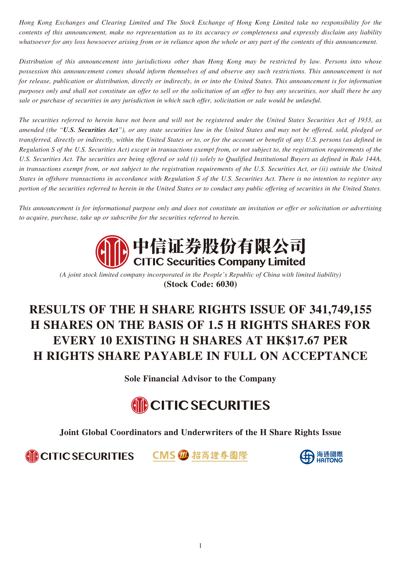*Hong Kong Exchanges and Clearing Limited and The Stock Exchange of Hong Kong Limited take no responsibility for the contents of this announcement, make no representation as to its accuracy or completeness and expressly disclaim any liability whatsoever for any loss howsoever arising from or in reliance upon the whole or any part of the contents of this announcement.*

*Distribution of this announcement into jurisdictions other than Hong Kong may be restricted by law. Persons into whose possession this announcement comes should inform themselves of and observe any such restrictions. This announcement is not for release, publication or distribution, directly or indirectly, in or into the United States. This announcement is for information purposes only and shall not constitute an offer to sell or the solicitation of an offer to buy any securities, nor shall there be any sale or purchase of securities in any jurisdiction in which such offer, solicitation or sale would be unlawful.*

*The securities referred to herein have not been and will not be registered under the United States Securities Act of 1933, as amended (the "U.S. Securities Act"), or any state securities law in the United States and may not be offered, sold, pledged or transferred, directly or indirectly, within the United States or to, or for the account or benefit of any U.S. persons (as defined in Regulation S of the U.S. Securities Act) except in transactions exempt from, or not subject to, the registration requirements of the U.S. Securities Act. The securities are being offered or sold (i) solely to Qualified Institutional Buyers as defined in Rule 144A, in transactions exempt from, or not subject to the registration requirements of the U.S. Securities Act, or (ii) outside the United States in offshore transactions in accordance with Regulation S of the U.S. Securities Act. There is no intention to register any portion of the securities referred to herein in the United States or to conduct any public offering of securities in the United States.*

*This announcement is for informational purpose only and does not constitute an invitation or offer or solicitation or advertising to acquire, purchase, take up or subscribe for the securities referred to herein.*



*(A joint stock limited company incorporated in the People's Republic of China with limited liability)* **(Stock Code: 6030)**

# **RESULTS OF THE H SHARE RIGHTS ISSUE OF 341,749,155 H SHARES ON THE BASIS OF 1.5 H RIGHTS SHARES FOR EVERY 10 EXISTING H SHARES AT HK\$17.67 PER H RIGHTS SHARE PAYABLE IN FULL ON ACCEPTANCE**

**Sole Financial Advisor to the Company**



**Joint Global Coordinators and Underwriters of the H Share Rights Issue**

**MCITIC SECURITIES CMS M招商證券國際** 

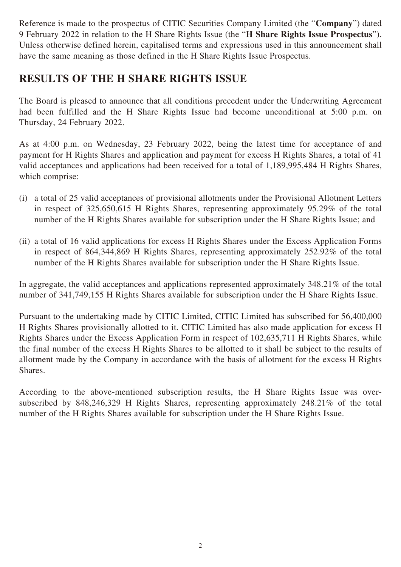Reference is made to the prospectus of CITIC Securities Company Limited (the "**Company**") dated 9 February 2022 in relation to the H Share Rights Issue (the "**H Share Rights Issue Prospectus**"). Unless otherwise defined herein, capitalised terms and expressions used in this announcement shall have the same meaning as those defined in the H Share Rights Issue Prospectus.

## **RESULTS OF THE H SHARE RIGHTS ISSUE**

The Board is pleased to announce that all conditions precedent under the Underwriting Agreement had been fulfilled and the H Share Rights Issue had become unconditional at 5:00 p.m. on Thursday, 24 February 2022.

As at 4:00 p.m. on Wednesday, 23 February 2022, being the latest time for acceptance of and payment for H Rights Shares and application and payment for excess H Rights Shares, a total of 41 valid acceptances and applications had been received for a total of 1,189,995,484 H Rights Shares, which comprise:

- (i) a total of 25 valid acceptances of provisional allotments under the Provisional Allotment Letters in respect of 325,650,615 H Rights Shares, representing approximately 95.29% of the total number of the H Rights Shares available for subscription under the H Share Rights Issue; and
- (ii) a total of 16 valid applications for excess H Rights Shares under the Excess Application Forms in respect of 864,344,869 H Rights Shares, representing approximately 252.92% of the total number of the H Rights Shares available for subscription under the H Share Rights Issue.

In aggregate, the valid acceptances and applications represented approximately 348.21% of the total number of 341,749,155 H Rights Shares available for subscription under the H Share Rights Issue.

Pursuant to the undertaking made by CITIC Limited, CITIC Limited has subscribed for 56,400,000 H Rights Shares provisionally allotted to it. CITIC Limited has also made application for excess H Rights Shares under the Excess Application Form in respect of 102,635,711 H Rights Shares, while the final number of the excess H Rights Shares to be allotted to it shall be subject to the results of allotment made by the Company in accordance with the basis of allotment for the excess H Rights Shares.

According to the above-mentioned subscription results, the H Share Rights Issue was oversubscribed by 848,246,329 H Rights Shares, representing approximately 248.21% of the total number of the H Rights Shares available for subscription under the H Share Rights Issue.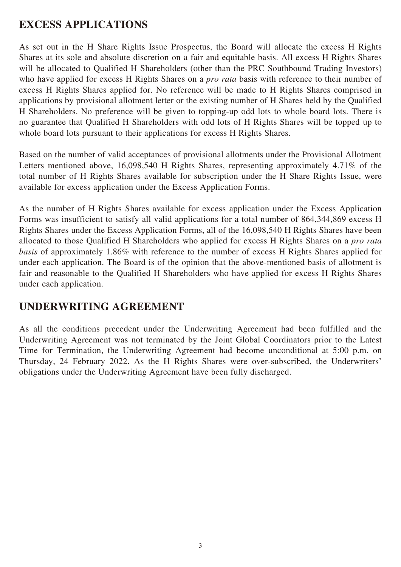# **EXCESS APPLICATIONS**

As set out in the H Share Rights Issue Prospectus, the Board will allocate the excess H Rights Shares at its sole and absolute discretion on a fair and equitable basis. All excess H Rights Shares will be allocated to Qualified H Shareholders (other than the PRC Southbound Trading Investors) who have applied for excess H Rights Shares on a *pro rata* basis with reference to their number of excess H Rights Shares applied for. No reference will be made to H Rights Shares comprised in applications by provisional allotment letter or the existing number of H Shares held by the Qualified H Shareholders. No preference will be given to topping-up odd lots to whole board lots. There is no guarantee that Qualified H Shareholders with odd lots of H Rights Shares will be topped up to whole board lots pursuant to their applications for excess H Rights Shares.

Based on the number of valid acceptances of provisional allotments under the Provisional Allotment Letters mentioned above, 16,098,540 H Rights Shares, representing approximately 4.71% of the total number of H Rights Shares available for subscription under the H Share Rights Issue, were available for excess application under the Excess Application Forms.

As the number of H Rights Shares available for excess application under the Excess Application Forms was insufficient to satisfy all valid applications for a total number of 864,344,869 excess H Rights Shares under the Excess Application Forms, all of the 16,098,540 H Rights Shares have been allocated to those Qualified H Shareholders who applied for excess H Rights Shares on a *pro rata basis* of approximately 1.86% with reference to the number of excess H Rights Shares applied for under each application. The Board is of the opinion that the above-mentioned basis of allotment is fair and reasonable to the Qualified H Shareholders who have applied for excess H Rights Shares under each application.

#### **UNDERWRITING AGREEMENT**

As all the conditions precedent under the Underwriting Agreement had been fulfilled and the Underwriting Agreement was not terminated by the Joint Global Coordinators prior to the Latest Time for Termination, the Underwriting Agreement had become unconditional at 5:00 p.m. on Thursday, 24 February 2022. As the H Rights Shares were over-subscribed, the Underwriters' obligations under the Underwriting Agreement have been fully discharged.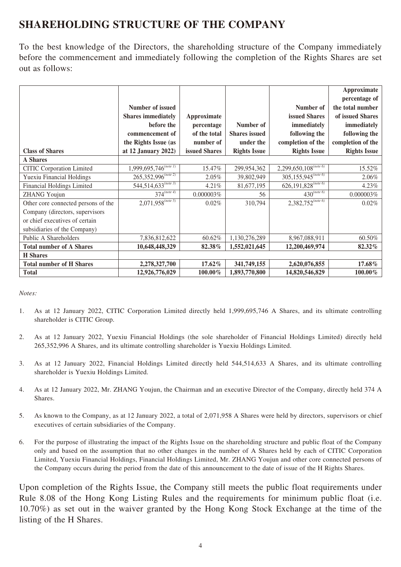# **SHAREHOLDING STRUCTURE OF THE COMPANY**

To the best knowledge of the Directors, the shareholding structure of the Company immediately before the commencement and immediately following the completion of the Rights Shares are set out as follows:

|                                     |                                      |               |                      |                                      | Approximate         |
|-------------------------------------|--------------------------------------|---------------|----------------------|--------------------------------------|---------------------|
|                                     |                                      |               |                      |                                      | percentage of       |
|                                     | Number of issued                     |               |                      | Number of                            | the total number    |
|                                     | <b>Shares immediately</b>            | Approximate   |                      | <b>issued Shares</b>                 | of issued Shares    |
|                                     | before the                           | percentage    | Number of            | immediately                          | immediately         |
|                                     | commencement of                      | of the total  | <b>Shares</b> issued | following the                        | following the       |
|                                     | the Rights Issue (as                 | number of     | under the            | completion of the                    | completion of the   |
| <b>Class of Shares</b>              | at 12 January $2022$ )               | issued Shares | <b>Rights Issue</b>  | <b>Rights Issue</b>                  | <b>Rights Issue</b> |
| <b>A</b> Shares                     |                                      |               |                      |                                      |                     |
| <b>CITIC Corporation Limited</b>    | $1,999,695,746^{(note\ 1)}$          | 15.47%        | 299,954,362          | $2,299,650,108^{(note\ 6)}$          | 15.52%              |
| <b>Yuexiu Financial Holdings</b>    | $265,352,996^{(note 2)}$             | $2.05\%$      | 39,802,949           | $305,155,945^{(note 6)}$             | 2.06%               |
| Financial Holdings Limited          | $544,514,633^{(\overline{note\ 3})}$ | 4.21%         | 81,677,195           | $626,191,828^{(\overline{note\ 6})}$ | 4.23%               |
| <b>ZHANG Youjun</b>                 | $374^{(note 4)}$                     | $0.000003\%$  | 56                   | $430^{(note\ 6)}$                    | 0.000003%           |
| Other core connected persons of the | $2,071,958^{(note 5)}$               | 0.02%         | 310,794              | $2,382,752^{(note\ 6)}$              | 0.02%               |
| Company (directors, supervisors     |                                      |               |                      |                                      |                     |
| or chief executives of certain      |                                      |               |                      |                                      |                     |
| subsidiaries of the Company)        |                                      |               |                      |                                      |                     |
| Public A Shareholders               | 7,836,812,622                        | 60.62%        | 1,130,276,289        | 8,967,088,911                        | 60.50%              |
| <b>Total number of A Shares</b>     | 10,648,448,329                       | 82.38%        | 1,552,021,645        | 12,200,469,974                       | 82.32%              |
| <b>H</b> Shares                     |                                      |               |                      |                                      |                     |
| <b>Total number of H Shares</b>     | 2,278,327,700                        | 17.62%        | 341,749,155          | 2,620,076,855                        | 17.68%              |
| <b>Total</b>                        | 12,926,776,029                       | $100.00\%$    | 1,893,770,800        | 14,820,546,829                       | 100.00%             |

*Notes:*

- 1. As at 12 January 2022, CITIC Corporation Limited directly held 1,999,695,746 A Shares, and its ultimate controlling shareholder is CITIC Group.
- 2. As at 12 January 2022, Yuexiu Financial Holdings (the sole shareholder of Financial Holdings Limited) directly held 265,352,996 A Shares, and its ultimate controlling shareholder is Yuexiu Holdings Limited.
- 3. As at 12 January 2022, Financial Holdings Limited directly held 544,514,633 A Shares, and its ultimate controlling shareholder is Yuexiu Holdings Limited.
- 4. As at 12 January 2022, Mr. ZHANG Youjun, the Chairman and an executive Director of the Company, directly held 374 A Shares.
- 5. As known to the Company, as at 12 January 2022, a total of 2,071,958 A Shares were held by directors, supervisors or chief executives of certain subsidiaries of the Company.
- 6. For the purpose of illustrating the impact of the Rights Issue on the shareholding structure and public float of the Company only and based on the assumption that no other changes in the number of A Shares held by each of CITIC Corporation Limited, Yuexiu Financial Holdings, Financial Holdings Limited, Mr. ZHANG Youjun and other core connected persons of the Company occurs during the period from the date of this announcement to the date of issue of the H Rights Shares.

Upon completion of the Rights Issue, the Company still meets the public float requirements under Rule 8.08 of the Hong Kong Listing Rules and the requirements for minimum public float (i.e. 10.70%) as set out in the waiver granted by the Hong Kong Stock Exchange at the time of the listing of the H Shares.